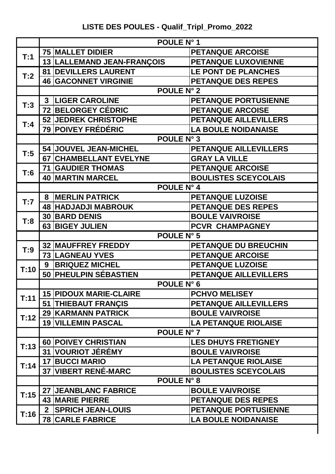## **LISTE DES POULES - Qualif\_Tripl\_Promo\_2022**

|      | POULE N° 1                                 |                              |  |  |  |
|------|--------------------------------------------|------------------------------|--|--|--|
| T:1  | <b>75 MALLET DIDIER</b>                    | <b>PETANQUE ARCOISE</b>      |  |  |  |
|      | 13   LALLEMAND JEAN-FRANÇOIS               | PETANQUE LUXOVIENNE          |  |  |  |
|      | <b>DEVILLERS LAURENT</b><br>81             | <b>LE PONT DE PLANCHES</b>   |  |  |  |
| T:2  | <b>46 GACONNET VIRGINIE</b>                | <b>PETANQUE DES REPES</b>    |  |  |  |
|      | <b>POULE N° 2</b>                          |                              |  |  |  |
| T:3  | <b>3  LIGER CAROLINE</b>                   | PETANQUE PORTUSIENNE         |  |  |  |
|      | <b>72 BELORGEY CÉDRIC</b>                  | <b>PETANQUE ARCOISE</b>      |  |  |  |
| T:4  | <b>52 JEDREK CHRISTOPHE</b>                | <b>PETANQUE AILLEVILLERS</b> |  |  |  |
|      | 79 POIVEY FRÉDÉRIC                         | <b>LA BOULE NOIDANAISE</b>   |  |  |  |
|      | <b>POULE N° 3</b>                          |                              |  |  |  |
| T:5  | 54 JOUVEL JEAN-MICHEL                      | PETANQUE AILLEVILLERS        |  |  |  |
|      | 67 CHAMBELLANT EVELYNE                     | <b>GRAY LA VILLE</b>         |  |  |  |
| 7:6  | <b>71 GAUDIER THOMAS</b>                   | <b>PETANQUE ARCOISE</b>      |  |  |  |
|      | <b>40 MARTIN MARCEL</b>                    | <b>BOULISTES SCEYCOLAIS</b>  |  |  |  |
|      | POULE N° 4                                 |                              |  |  |  |
| T:7  | 8 MERLIN PATRICK                           | <b>PETANQUE LUZOISE</b>      |  |  |  |
|      | <b>48 HADJADJI MABROUK</b>                 | <b>PETANQUE DES REPES</b>    |  |  |  |
| T:8  | <b>30 BARD DENIS</b>                       | <b>BOULE VAIVROISE</b>       |  |  |  |
|      | 63 BIGEY JULIEN                            | PCVR CHAMPAGNEY              |  |  |  |
|      | <b>POULE N° 5</b>                          |                              |  |  |  |
| T:9  | <b>32 MAUFFREY FREDDY</b>                  | PETANQUE DU BREUCHIN         |  |  |  |
|      | <b>73 LAGNEAU YVES</b>                     | <b>PETANQUE ARCOISE</b>      |  |  |  |
| T:10 | <b>BRIQUEZ MICHEL</b><br>9                 | <b>PETANQUE LUZOISE</b>      |  |  |  |
|      | 50 PHEULPIN SÉBASTIEN                      | PETANQUE AILLEVILLERS        |  |  |  |
|      | POULE N° 6                                 |                              |  |  |  |
| T:11 | <b>15 PIDOUX MARIE-CLAIRE</b>              | <b>PCHVO MELISEY</b>         |  |  |  |
|      | <b>51 THIEBAUT FRANÇIS</b>                 | <b>PETANQUE AILLEVILLERS</b> |  |  |  |
| T:12 | 29 KARMANN PATRICK                         | <b>BOULE VAIVROISE</b>       |  |  |  |
|      | <b>19 VILLEMIN PASCAL</b>                  | <b>LA PETANQUE RIOLAISE</b>  |  |  |  |
|      | <b>POULE N° 7</b>                          |                              |  |  |  |
| T:13 | <b>60 POIVEY CHRISTIAN</b>                 | <b>LES DHUYS FRETIGNEY</b>   |  |  |  |
|      | <b>VOURIOT JÉRÉMY</b><br>31                | <b>BOULE VAIVROISE</b>       |  |  |  |
| T:14 | <b>17 BUCCI MARIO</b>                      | <b>LA PETANQUE RIOLAISE</b>  |  |  |  |
|      | 37 VIBERT RENÉ-MARC                        | <b>BOULISTES SCEYCOLAIS</b>  |  |  |  |
|      | <b>POULE N° 8</b>                          |                              |  |  |  |
| T:15 | <b>27 JEANBLANC FABRICE</b>                | <b>BOULE VAIVROISE</b>       |  |  |  |
|      | <b>43 MARIE PIERRE</b>                     | <b>PETANQUE DES REPES</b>    |  |  |  |
| T:16 | <b>SPRICH JEAN-LOUIS</b><br>2 <sup>1</sup> | <b>PETANQUE PORTUSIENNE</b>  |  |  |  |
|      | <b>78 CARLE FABRICE</b>                    | <b>LA BOULE NOIDANAISE</b>   |  |  |  |
|      |                                            |                              |  |  |  |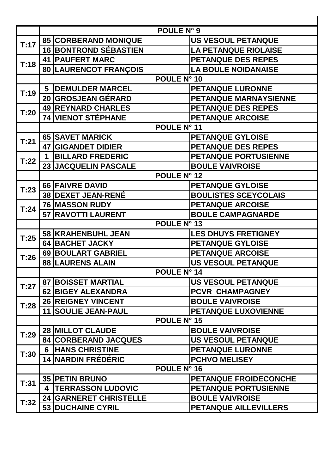|      | POULE N° 9                                |                              |  |  |
|------|-------------------------------------------|------------------------------|--|--|
|      | <b>85 CORBERAND MONIQUE</b>               | <b>US VESOUL PETANQUE</b>    |  |  |
| T:17 | <b>16 BONTROND SÉBASTIEN</b>              | <b>LA PETANQUE RIOLAISE</b>  |  |  |
| T:18 | <b>41   PAUFERT MARC</b>                  | <b>PETANQUE DES REPES</b>    |  |  |
|      | 80   LAURENCOT FRANÇOIS                   | <b>LA BOULE NOIDANAISE</b>   |  |  |
|      |                                           | POULE N° 10                  |  |  |
|      | <b>DEMULDER MARCEL</b><br>$5\phantom{.0}$ | <b>PETANQUE LURONNE</b>      |  |  |
| T:19 | 20 GROSJEAN GÉRARD                        | PETANQUE MARNAYSIENNE        |  |  |
| T:20 | <b>49   REYNARD CHARLES</b>               | <b>PETANQUE DES REPES</b>    |  |  |
|      | 74 VIENOT STÉPHANE                        | <b>PETANQUE ARCOISE</b>      |  |  |
|      | POULE N° 11                               |                              |  |  |
|      | <b>65 SAVET MARICK</b>                    | <b>PETANQUE GYLOISE</b>      |  |  |
| T:21 | <b>47 GIGANDET DIDIER</b>                 | <b>PETANQUE DES REPES</b>    |  |  |
|      | <b>BILLARD FREDERIC</b><br>1              | PETANQUE PORTUSIENNE         |  |  |
| T:22 | 23 JACQUELIN PASCALE                      | <b>BOULE VAIVROISE</b>       |  |  |
|      | POULE N° 12                               |                              |  |  |
|      | 66 FAIVRE DAVID                           | <b>PETANQUE GYLOISE</b>      |  |  |
| T:23 | <b>38 DEXET JEAN-RENÉ</b>                 | <b>BOULISTES SCEYCOLAIS</b>  |  |  |
| T:24 | <b>76 MASSON RUDY</b>                     | <b>PETANQUE ARCOISE</b>      |  |  |
|      | <b>57 RAVOTTI LAURENT</b>                 | <b>BOULE CAMPAGNARDE</b>     |  |  |
|      | POULE N° 13                               |                              |  |  |
| T:25 | 58 KRAHENBUHL JEAN                        | <b>LES DHUYS FRETIGNEY</b>   |  |  |
|      | 64 BACHET JACKY                           | <b>PETANQUE GYLOISE</b>      |  |  |
| T:26 | 69 BOULART GABRIEL                        | <b>PETANQUE ARCOISE</b>      |  |  |
|      | <b>88 LAURENS ALAIN</b>                   | <b>US VESOUL PETANQUE</b>    |  |  |
|      | <b>POULE N° 14</b>                        |                              |  |  |
| T:27 | <b>87 BOISSET MARTIAL</b>                 | <b>US VESOUL PETANQUE</b>    |  |  |
|      | <b>62 BIGEY ALEXANDRA</b>                 | <b>PCVR CHAMPAGNEY</b>       |  |  |
| T:28 | <b>26 REIGNEY VINCENT</b>                 | <b>BOULE VAIVROISE</b>       |  |  |
|      | <b>11 SOULIE JEAN-PAUL</b>                | PETANQUE LUXOVIENNE          |  |  |
|      | <b>POULE N° 15</b>                        |                              |  |  |
| T:29 | <b>28 MILLOT CLAUDE</b>                   | <b>BOULE VAIVROISE</b>       |  |  |
|      | <b>84   CORBERAND JACQUES</b>             | <b>US VESOUL PETANQUE</b>    |  |  |
| T:30 | <b>HANS CHRISTINE</b><br>6.               | <b>PETANQUE LURONNE</b>      |  |  |
|      | <b>14 NARDIN FRÉDÉRIC</b>                 | <b>PCHVO MELISEY</b>         |  |  |
|      |                                           | POULE N° 16                  |  |  |
| T:31 | <b>35 PETIN BRUNO</b>                     | <b>PETANQUE FROIDECONCHE</b> |  |  |
|      | <b>TERRASSON LUDOVIC</b><br>4             | <b>PETANQUE PORTUSIENNE</b>  |  |  |
| T:32 | <b>24 GARNERET CHRISTELLE</b>             | <b>BOULE VAIVROISE</b>       |  |  |
|      | <b>53 DUCHAINE CYRIL</b>                  | PETANQUE AILLEVILLERS        |  |  |

 $\blacksquare$